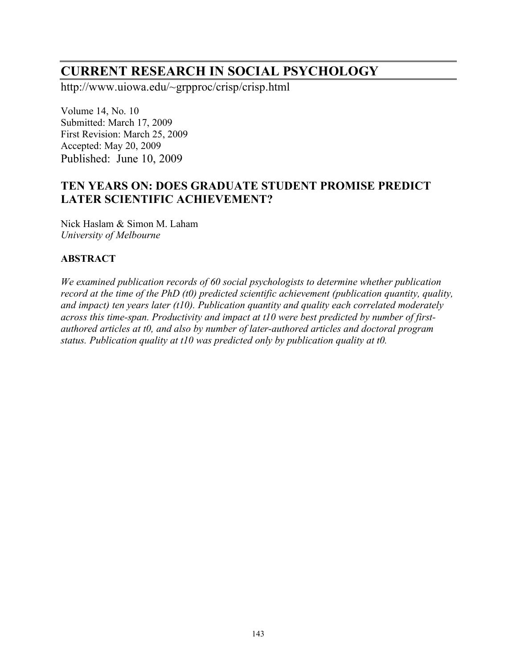# **CURRENT RESEARCH IN SOCIAL PSYCHOLOGY**

http://www.uiowa.edu/~grpproc/crisp/crisp.html

Volume 14, No. 10 Submitted: March 17, 2009 First Revision: March 25, 2009 Accepted: May 20, 2009 Published: June 10, 2009

## **TEN YEARS ON: DOES GRADUATE STUDENT PROMISE PREDICT LATER SCIENTIFIC ACHIEVEMENT?**

Nick Haslam & Simon M. Laham *University of Melbourne*

#### **ABSTRACT**

*We examined publication records of 60 social psychologists to determine whether publication record at the time of the PhD (t0) predicted scientific achievement (publication quantity, quality, and impact) ten years later (t10). Publication quantity and quality each correlated moderately across this time-span. Productivity and impact at t10 were best predicted by number of firstauthored articles at t0, and also by number of later-authored articles and doctoral program status. Publication quality at t10 was predicted only by publication quality at t0.*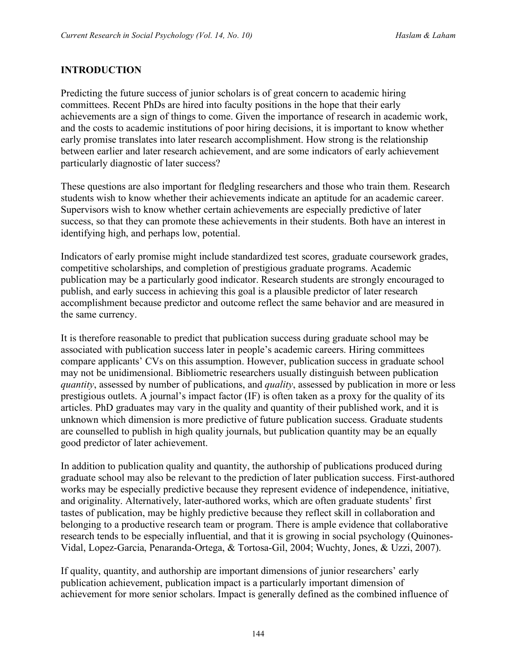### **INTRODUCTION**

Predicting the future success of junior scholars is of great concern to academic hiring committees. Recent PhDs are hired into faculty positions in the hope that their early achievements are a sign of things to come. Given the importance of research in academic work, and the costs to academic institutions of poor hiring decisions, it is important to know whether early promise translates into later research accomplishment. How strong is the relationship between earlier and later research achievement, and are some indicators of early achievement particularly diagnostic of later success?

These questions are also important for fledgling researchers and those who train them. Research students wish to know whether their achievements indicate an aptitude for an academic career. Supervisors wish to know whether certain achievements are especially predictive of later success, so that they can promote these achievements in their students. Both have an interest in identifying high, and perhaps low, potential.

Indicators of early promise might include standardized test scores, graduate coursework grades, competitive scholarships, and completion of prestigious graduate programs. Academic publication may be a particularly good indicator. Research students are strongly encouraged to publish, and early success in achieving this goal is a plausible predictor of later research accomplishment because predictor and outcome reflect the same behavior and are measured in the same currency.

It is therefore reasonable to predict that publication success during graduate school may be associated with publication success later in people's academic careers. Hiring committees compare applicants' CVs on this assumption. However, publication success in graduate school may not be unidimensional. Bibliometric researchers usually distinguish between publication *quantity*, assessed by number of publications, and *quality*, assessed by publication in more or less prestigious outlets. A journal's impact factor (IF) is often taken as a proxy for the quality of its articles. PhD graduates may vary in the quality and quantity of their published work, and it is unknown which dimension is more predictive of future publication success. Graduate students are counselled to publish in high quality journals, but publication quantity may be an equally good predictor of later achievement.

In addition to publication quality and quantity, the authorship of publications produced during graduate school may also be relevant to the prediction of later publication success. First-authored works may be especially predictive because they represent evidence of independence, initiative, and originality. Alternatively, later-authored works, which are often graduate students' first tastes of publication, may be highly predictive because they reflect skill in collaboration and belonging to a productive research team or program. There is ample evidence that collaborative research tends to be especially influential, and that it is growing in social psychology (Quinones-Vidal, Lopez-Garcia, Penaranda-Ortega, & Tortosa-Gil, 2004; Wuchty, Jones, & Uzzi, 2007).

If quality, quantity, and authorship are important dimensions of junior researchers' early publication achievement, publication impact is a particularly important dimension of achievement for more senior scholars. Impact is generally defined as the combined influence of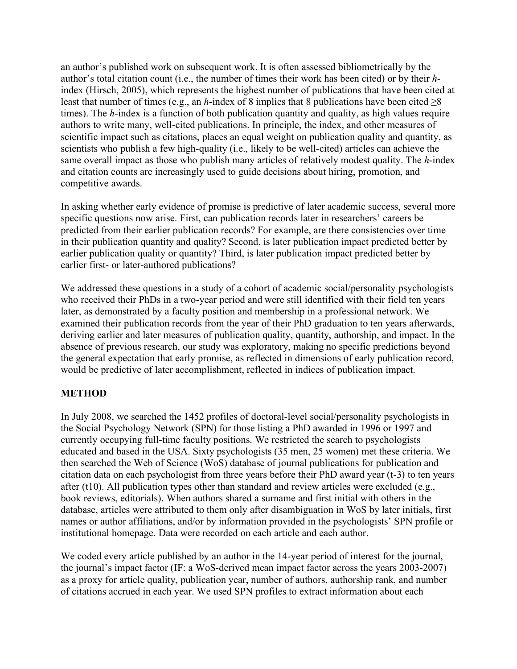an author's published work on subsequent work. It is often assessed bibliometrically by the author's total citation count (i.e., the number of times their work has been cited) or by their *h*index (Hirsch, 2005), which represents the highest number of publications that have been cited at least that number of times (e.g., an *h*-index of 8 implies that 8 publications have been cited  $\geq 8$ times). The *h*-index is a function of both publication quantity and quality, as high values require authors to write many, well-cited publications. In principle, the index, and other measures of scientific impact such as citations, places an equal weight on publication quality and quantity, as scientists who publish a few high-quality (i.e., likely to be well-cited) articles can achieve the same overall impact as those who publish many articles of relatively modest quality. The *h*-index and citation counts are increasingly used to guide decisions about hiring, promotion, and competitive awards.

In asking whether early evidence of promise is predictive of later academic success, several more specific questions now arise. First, can publication records later in researchers' careers be predicted from their earlier publication records? For example, are there consistencies over time in their publication quantity and quality? Second, is later publication impact predicted better by earlier publication quality or quantity? Third, is later publication impact predicted better by earlier first- or later-authored publications?

We addressed these questions in a study of a cohort of academic social/personality psychologists who received their PhDs in a two-year period and were still identified with their field ten years later, as demonstrated by a faculty position and membership in a professional network. We examined their publication records from the year of their PhD graduation to ten years afterwards, deriving earlier and later measures of publication quality, quantity, authorship, and impact. In the absence of previous research, our study was exploratory, making no specific predictions beyond the general expectation that early promise, as reflected in dimensions of early publication record, would be predictive of later accomplishment, reflected in indices of publication impact.

#### **METHOD**

In July 2008, we searched the 1452 profiles of doctoral-level social/personality psychologists in the Social Psychology Network (SPN) for those listing a PhD awarded in 1996 or 1997 and currently occupying full-time faculty positions. We restricted the search to psychologists educated and based in the USA. Sixty psychologists (35 men, 25 women) met these criteria. We then searched the Web of Science (WoS) database of journal publications for publication and citation data on each psychologist from three years before their PhD award year (t-3) to ten years after (t10). All publication types other than standard and review articles were excluded (e.g., book reviews, editorials). When authors shared a surname and first initial with others in the database, articles were attributed to them only after disambiguation in WoS by later initials, first names or author affiliations, and/or by information provided in the psychologists' SPN profile or institutional homepage. Data were recorded on each article and each author.

We coded every article published by an author in the 14-year period of interest for the journal, the journal's impact factor (IF: a WoS-derived mean impact factor across the years 2003-2007) as a proxy for article quality, publication year, number of authors, authorship rank, and number of citations accrued in each year. We used SPN profiles to extract information about each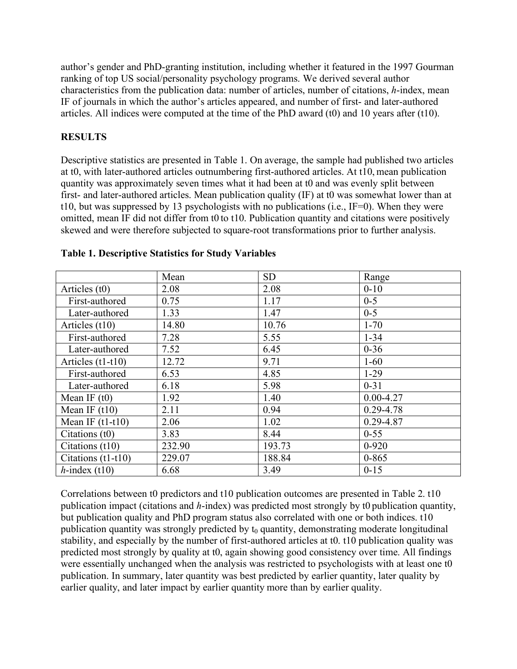author's gender and PhD-granting institution, including whether it featured in the 1997 Gourman ranking of top US social/personality psychology programs. We derived several author characteristics from the publication data: number of articles, number of citations, *h*-index, mean IF of journals in which the author's articles appeared, and number of first- and later-authored articles. All indices were computed at the time of the PhD award (t0) and 10 years after (t10).

#### **RESULTS**

Descriptive statistics are presented in Table 1. On average, the sample had published two articles at t0, with later-authored articles outnumbering first-authored articles. At t10, mean publication quantity was approximately seven times what it had been at t0 and was evenly split between first- and later-authored articles. Mean publication quality (IF) at t0 was somewhat lower than at t10, but was suppressed by 13 psychologists with no publications (i.e., IF=0). When they were omitted, mean IF did not differ from t0 to t10. Publication quantity and citations were positively skewed and were therefore subjected to square-root transformations prior to further analysis.

|                     | Mean   | <b>SD</b> | Range         |
|---------------------|--------|-----------|---------------|
| Articles (t0)       | 2.08   | 2.08      | $0 - 10$      |
| First-authored      | 0.75   | 1.17      | $0 - 5$       |
| Later-authored      | 1.33   | 1.47      | $0 - 5$       |
| Articles (t10)      | 14.80  | 10.76     | $1 - 70$      |
| First-authored      | 7.28   | 5.55      | $1 - 34$      |
| Later-authored      | 7.52   | 6.45      | $0 - 36$      |
| Articles $(t1-t10)$ | 12.72  | 9.71      | $1 - 60$      |
| First-authored      | 6.53   | 4.85      | $1-29$        |
| Later-authored      | 6.18   | 5.98      | $0 - 31$      |
| Mean IF $(t0)$      | 1.92   | 1.40      | $0.00 - 4.27$ |
| Mean IF $(t10)$     | 2.11   | 0.94      | $0.29 - 4.78$ |
| Mean IF $(t1-t10)$  | 2.06   | 1.02      | 0.29-4.87     |
| Citations $(t0)$    | 3.83   | 8.44      | $0 - 55$      |
| Citations (t10)     | 232.90 | 193.73    | $0 - 920$     |
| Citations (t1-t10)  | 229.07 | 188.84    | $0 - 865$     |
| $h$ -index (t10)    | 6.68   | 3.49      | $0 - 15$      |

#### **Table 1. Descriptive Statistics for Study Variables**

Correlations between t0 predictors and t10 publication outcomes are presented in Table 2. t10 publication impact (citations and *h*-index) was predicted most strongly by t0 publication quantity, but publication quality and PhD program status also correlated with one or both indices. t10 publication quantity was strongly predicted by  $t_0$  quantity, demonstrating moderate longitudinal stability, and especially by the number of first-authored articles at t0. t10 publication quality was predicted most strongly by quality at t0, again showing good consistency over time. All findings were essentially unchanged when the analysis was restricted to psychologists with at least one t0 publication. In summary, later quantity was best predicted by earlier quantity, later quality by earlier quality, and later impact by earlier quantity more than by earlier quality.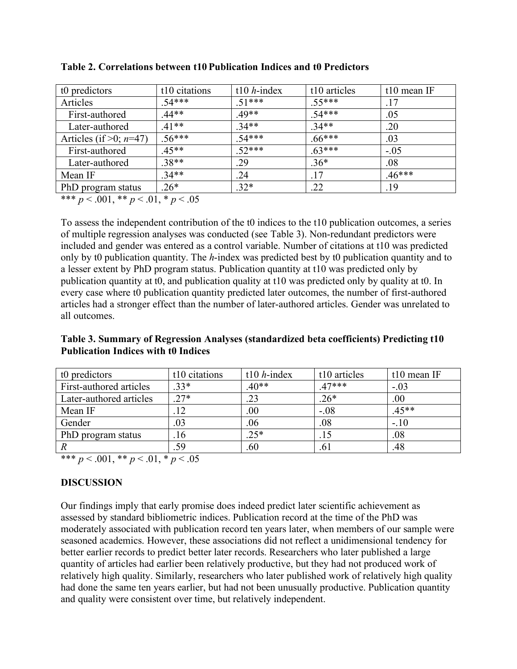| t0 predictors                                  | t10 citations | t10 $h$ -index | t10 articles | t10 mean IF |  |  |
|------------------------------------------------|---------------|----------------|--------------|-------------|--|--|
| Articles                                       | $.54***$      | $.51***$       | $.55***$     | .17         |  |  |
| First-authored                                 | $.44**$       | 49**           | $.54***$     | .05         |  |  |
| Later-authored                                 | $41**$        | $.34**$        | $.34**$      | .20         |  |  |
| Articles (if $>0$ ; $n=47$ )                   | $.56***$      | $.54***$       | $.66***$     | .03         |  |  |
| First-authored                                 | $45**$        | $52***$        | $63***$      | $-.05$      |  |  |
| Later-authored                                 | $.38**$       | .29            | $.36*$       | .08         |  |  |
| Mean IF                                        | $34**$        | .24            | .17          | $.46***$    |  |  |
| PhD program status                             | $.26*$        | $.32*$         | .22          | .19         |  |  |
| المتحرم والمنافس والمرابطة والمرابطة والمرابطة |               |                |              |             |  |  |

**Table 2. Correlations between t10 Publication Indices and t0 Predictors**

\*\*\* *p* < .001, \*\* *p* < .01, \* *p* < .05

To assess the independent contribution of the t0 indices to the t10 publication outcomes, a series of multiple regression analyses was conducted (see Table 3). Non-redundant predictors were included and gender was entered as a control variable. Number of citations at t10 was predicted only by t0 publication quantity. The *h*-index was predicted best by t0 publication quantity and to a lesser extent by PhD program status. Publication quantity at t10 was predicted only by publication quantity at t0, and publication quality at t10 was predicted only by quality at t0. In every case where t0 publication quantity predicted later outcomes, the number of first-authored articles had a stronger effect than the number of later-authored articles. Gender was unrelated to all outcomes.

**Table 3. Summary of Regression Analyses (standardized beta coefficients) Predicting t10 Publication Indices with t0 Indices**

| t0 predictors           | t10 citations | t10 $h$ -index | t10 articles | t10 mean IF |
|-------------------------|---------------|----------------|--------------|-------------|
| First-authored articles | $33*$         | $.40**$        | $47***$      | $-.03$      |
| Later-authored articles | $27*$         | .23            | $.26*$       | .00         |
| Mean IF                 |               | .00            | $-.08$       | $.45**$     |
| Gender                  | .03           | .06            | .08          | $-.10$      |
| PhD program status      | .16           | $.25*$         | .15          | .08         |
|                         | .59           | .60            | .61          | .48         |
|                         |               |                |              |             |

\*\*\* *p* < .001, \*\* *p* < .01, \* *p* < .05

#### **DISCUSSION**

Our findings imply that early promise does indeed predict later scientific achievement as assessed by standard bibliometric indices. Publication record at the time of the PhD was moderately associated with publication record ten years later, when members of our sample were seasoned academics. However, these associations did not reflect a unidimensional tendency for better earlier records to predict better later records. Researchers who later published a large quantity of articles had earlier been relatively productive, but they had not produced work of relatively high quality. Similarly, researchers who later published work of relatively high quality had done the same ten years earlier, but had not been unusually productive. Publication quantity and quality were consistent over time, but relatively independent.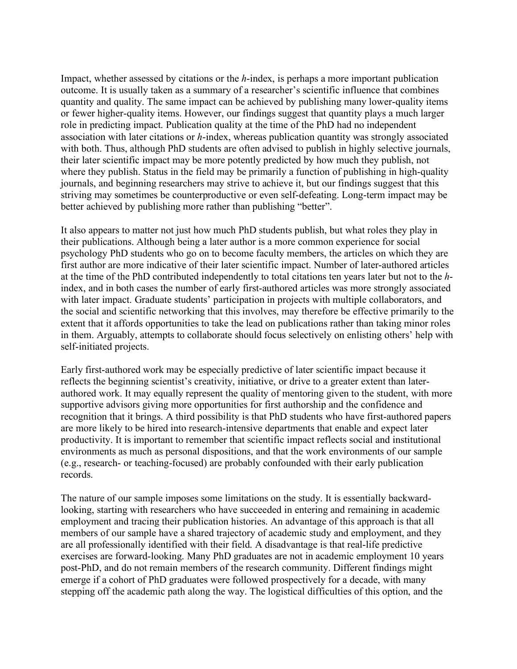Impact, whether assessed by citations or the *h*-index, is perhaps a more important publication outcome. It is usually taken as a summary of a researcher's scientific influence that combines quantity and quality. The same impact can be achieved by publishing many lower-quality items or fewer higher-quality items. However, our findings suggest that quantity plays a much larger role in predicting impact. Publication quality at the time of the PhD had no independent association with later citations or *h*-index, whereas publication quantity was strongly associated with both. Thus, although PhD students are often advised to publish in highly selective journals, their later scientific impact may be more potently predicted by how much they publish, not where they publish. Status in the field may be primarily a function of publishing in high-quality journals, and beginning researchers may strive to achieve it, but our findings suggest that this striving may sometimes be counterproductive or even self-defeating. Long-term impact may be better achieved by publishing more rather than publishing "better".

It also appears to matter not just how much PhD students publish, but what roles they play in their publications. Although being a later author is a more common experience for social psychology PhD students who go on to become faculty members, the articles on which they are first author are more indicative of their later scientific impact. Number of later-authored articles at the time of the PhD contributed independently to total citations ten years later but not to the *h*index, and in both cases the number of early first-authored articles was more strongly associated with later impact. Graduate students' participation in projects with multiple collaborators, and the social and scientific networking that this involves, may therefore be effective primarily to the extent that it affords opportunities to take the lead on publications rather than taking minor roles in them. Arguably, attempts to collaborate should focus selectively on enlisting others' help with self-initiated projects.

Early first-authored work may be especially predictive of later scientific impact because it reflects the beginning scientist's creativity, initiative, or drive to a greater extent than laterauthored work. It may equally represent the quality of mentoring given to the student, with more supportive advisors giving more opportunities for first authorship and the confidence and recognition that it brings. A third possibility is that PhD students who have first-authored papers are more likely to be hired into research-intensive departments that enable and expect later productivity. It is important to remember that scientific impact reflects social and institutional environments as much as personal dispositions, and that the work environments of our sample (e.g., research- or teaching-focused) are probably confounded with their early publication records.

The nature of our sample imposes some limitations on the study. It is essentially backwardlooking, starting with researchers who have succeeded in entering and remaining in academic employment and tracing their publication histories. An advantage of this approach is that all members of our sample have a shared trajectory of academic study and employment, and they are all professionally identified with their field. A disadvantage is that real-life predictive exercises are forward-looking. Many PhD graduates are not in academic employment 10 years post-PhD, and do not remain members of the research community. Different findings might emerge if a cohort of PhD graduates were followed prospectively for a decade, with many stepping off the academic path along the way. The logistical difficulties of this option, and the